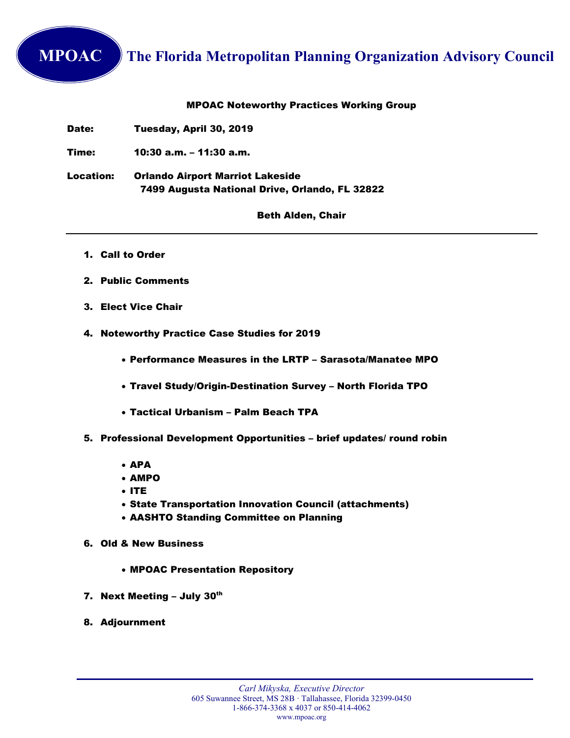## **MPOAC** The Florida Metropolitan Planning Organization Advisory Council

## MPOAC Noteworthy Practices Working Group

Date: Tuesday, April 30, 2019

Time: 10:30 a.m. – 11:30 a.m.

Location: Orlando Airport Marriot Lakeside 7499 Augusta National Drive, Orlando, FL 32822

## Beth Alden, Chair

- 1. Call to Order
- 2. Public Comments
- 3. Elect Vice Chair
- 4. Noteworthy Practice Case Studies for 2019
	- Performance Measures in the LRTP Sarasota/Manatee MPO
	- Travel Study/Origin-Destination Survey North Florida TPO
	- Tactical Urbanism Palm Beach TPA
- 5. Professional Development Opportunities brief updates/ round robin
	- APA
	- **AMPO**
	- $I$
	- State Transportation Innovation Council (attachments)
	- AASHTO Standing Committee on Planning
- 6. Old & New Business
	- MPOAC Presentation Repository
- 7. Next Meeting July 30<sup>th</sup>
- 8. Adjournment